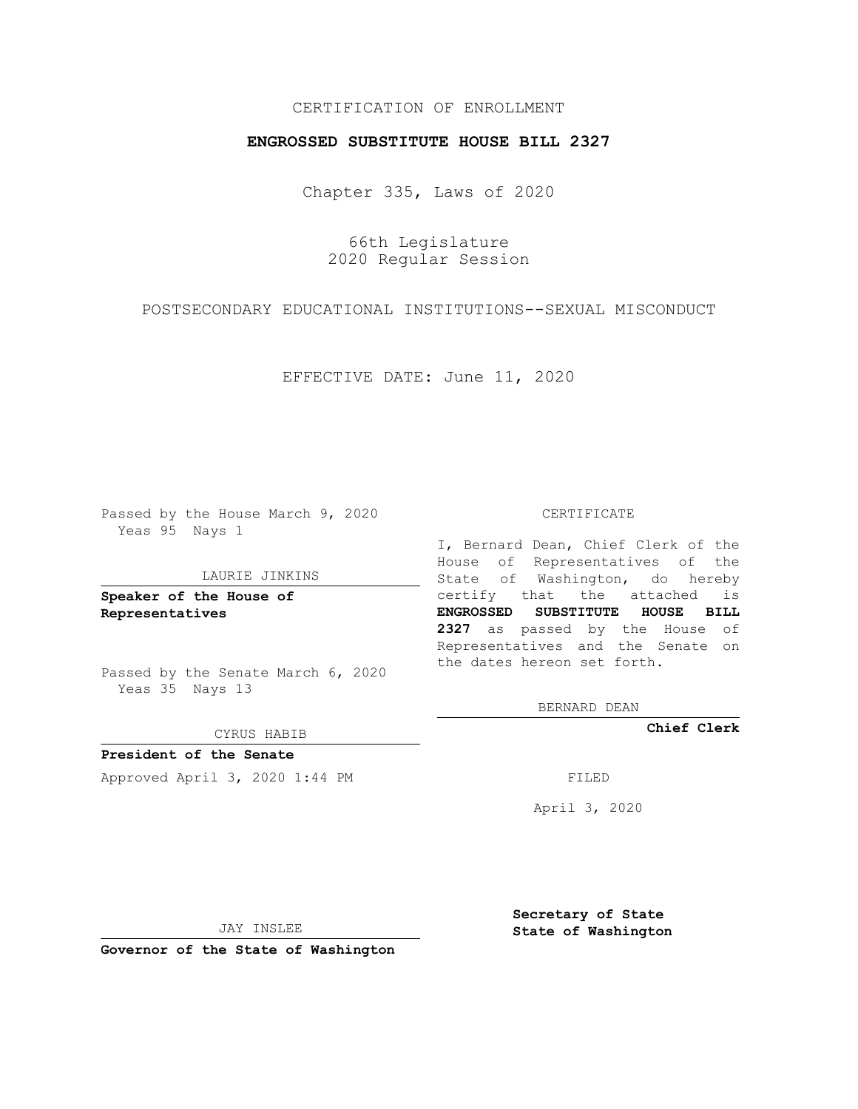## CERTIFICATION OF ENROLLMENT

## **ENGROSSED SUBSTITUTE HOUSE BILL 2327**

Chapter 335, Laws of 2020

66th Legislature 2020 Regular Session

POSTSECONDARY EDUCATIONAL INSTITUTIONS--SEXUAL MISCONDUCT

EFFECTIVE DATE: June 11, 2020

Passed by the House March 9, 2020 Yeas 95 Nays 1

#### LAURIE JINKINS

**Speaker of the House of Representatives**

Passed by the Senate March 6, 2020 Yeas 35 Nays 13

CYRUS HABIB

**President of the Senate** Approved April 3, 2020 1:44 PM

CERTIFICATE

I, Bernard Dean, Chief Clerk of the House of Representatives of the State of Washington, do hereby certify that the attached is **ENGROSSED SUBSTITUTE HOUSE BILL 2327** as passed by the House of Representatives and the Senate on the dates hereon set forth.

BERNARD DEAN

**Chief Clerk**

April 3, 2020

JAY INSLEE

**Governor of the State of Washington**

**Secretary of State State of Washington**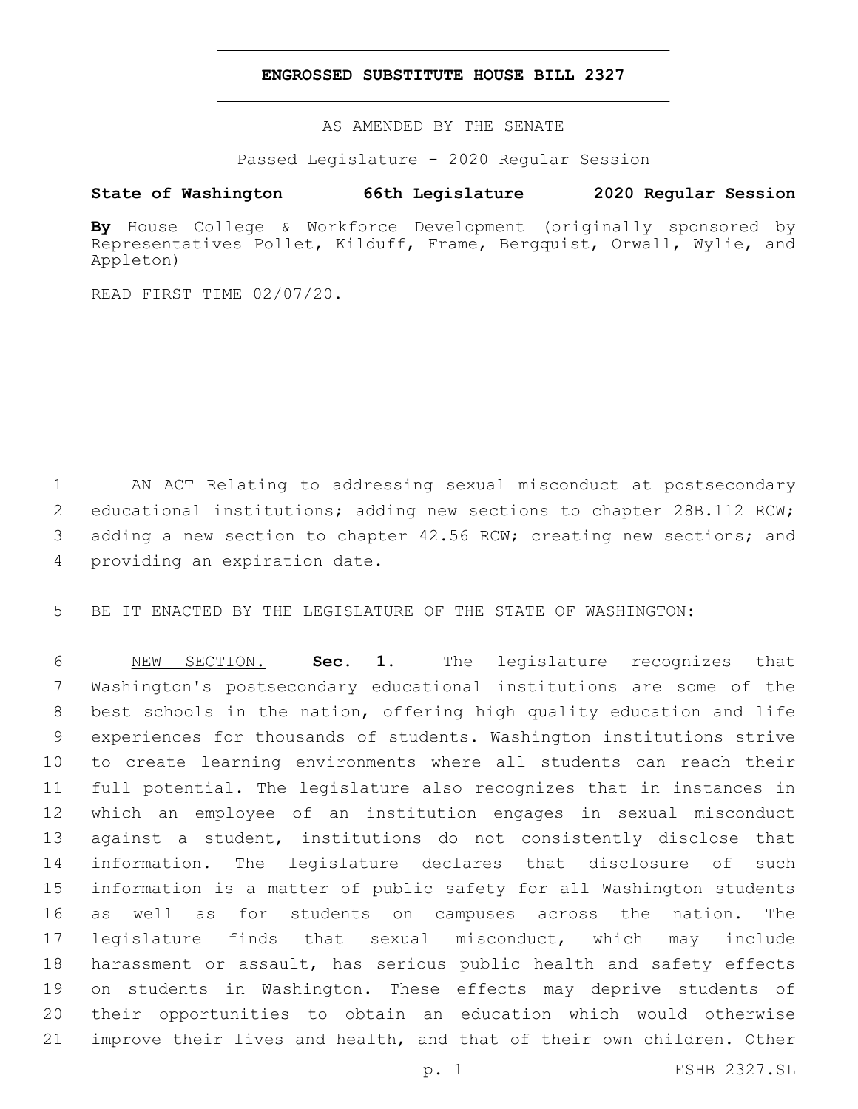## **ENGROSSED SUBSTITUTE HOUSE BILL 2327**

AS AMENDED BY THE SENATE

Passed Legislature - 2020 Regular Session

# **State of Washington 66th Legislature 2020 Regular Session**

**By** House College & Workforce Development (originally sponsored by Representatives Pollet, Kilduff, Frame, Bergquist, Orwall, Wylie, and Appleton)

READ FIRST TIME 02/07/20.

 AN ACT Relating to addressing sexual misconduct at postsecondary educational institutions; adding new sections to chapter 28B.112 RCW; 3 adding a new section to chapter 42.56 RCW; creating new sections; and 4 providing an expiration date.

BE IT ENACTED BY THE LEGISLATURE OF THE STATE OF WASHINGTON:

 NEW SECTION. **Sec. 1.** The legislature recognizes that Washington's postsecondary educational institutions are some of the best schools in the nation, offering high quality education and life experiences for thousands of students. Washington institutions strive to create learning environments where all students can reach their full potential. The legislature also recognizes that in instances in which an employee of an institution engages in sexual misconduct against a student, institutions do not consistently disclose that information. The legislature declares that disclosure of such information is a matter of public safety for all Washington students as well as for students on campuses across the nation. The legislature finds that sexual misconduct, which may include harassment or assault, has serious public health and safety effects on students in Washington. These effects may deprive students of their opportunities to obtain an education which would otherwise improve their lives and health, and that of their own children. Other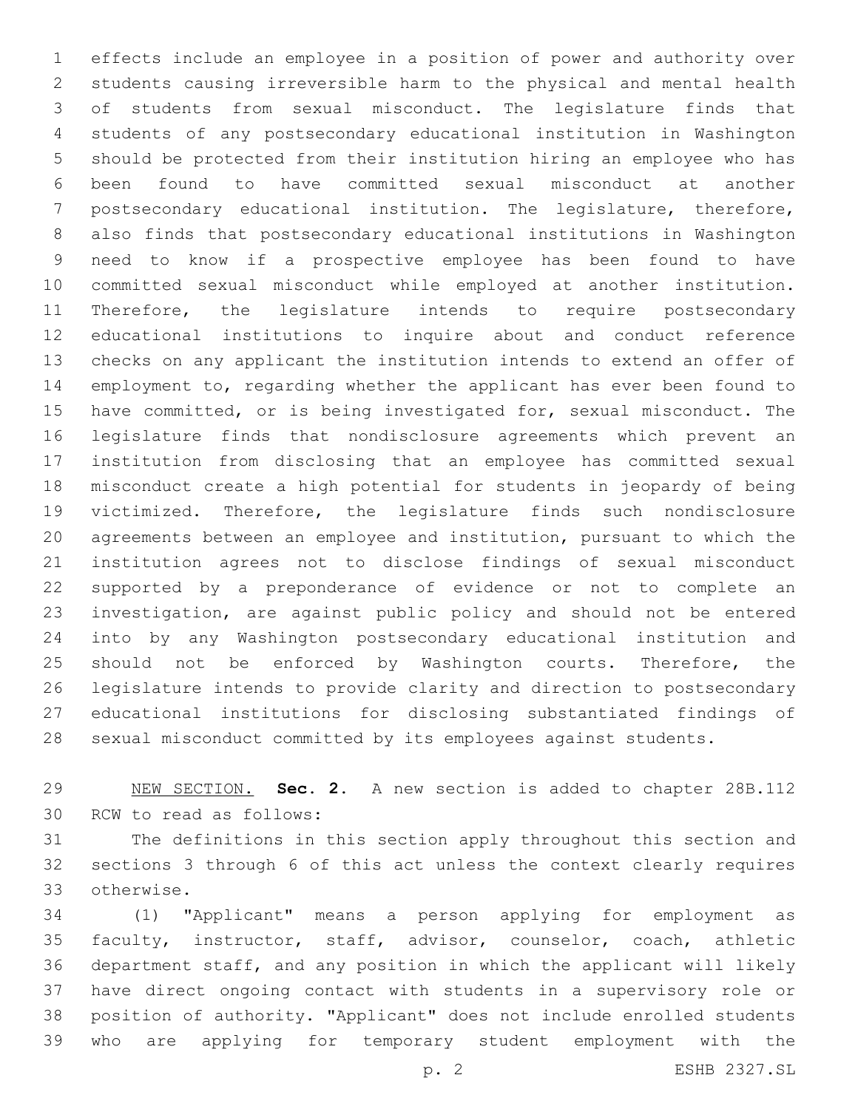effects include an employee in a position of power and authority over students causing irreversible harm to the physical and mental health of students from sexual misconduct. The legislature finds that students of any postsecondary educational institution in Washington should be protected from their institution hiring an employee who has been found to have committed sexual misconduct at another postsecondary educational institution. The legislature, therefore, also finds that postsecondary educational institutions in Washington need to know if a prospective employee has been found to have committed sexual misconduct while employed at another institution. Therefore, the legislature intends to require postsecondary educational institutions to inquire about and conduct reference checks on any applicant the institution intends to extend an offer of employment to, regarding whether the applicant has ever been found to have committed, or is being investigated for, sexual misconduct. The legislature finds that nondisclosure agreements which prevent an institution from disclosing that an employee has committed sexual misconduct create a high potential for students in jeopardy of being victimized. Therefore, the legislature finds such nondisclosure agreements between an employee and institution, pursuant to which the institution agrees not to disclose findings of sexual misconduct supported by a preponderance of evidence or not to complete an investigation, are against public policy and should not be entered into by any Washington postsecondary educational institution and 25 should not be enforced by Washington courts. Therefore, the legislature intends to provide clarity and direction to postsecondary educational institutions for disclosing substantiated findings of sexual misconduct committed by its employees against students.

 NEW SECTION. **Sec. 2.** A new section is added to chapter 28B.112 30 RCW to read as follows:

 The definitions in this section apply throughout this section and sections 3 through 6 of this act unless the context clearly requires otherwise.33

 (1) "Applicant" means a person applying for employment as faculty, instructor, staff, advisor, counselor, coach, athletic department staff, and any position in which the applicant will likely have direct ongoing contact with students in a supervisory role or position of authority. "Applicant" does not include enrolled students who are applying for temporary student employment with the

p. 2 ESHB 2327.SL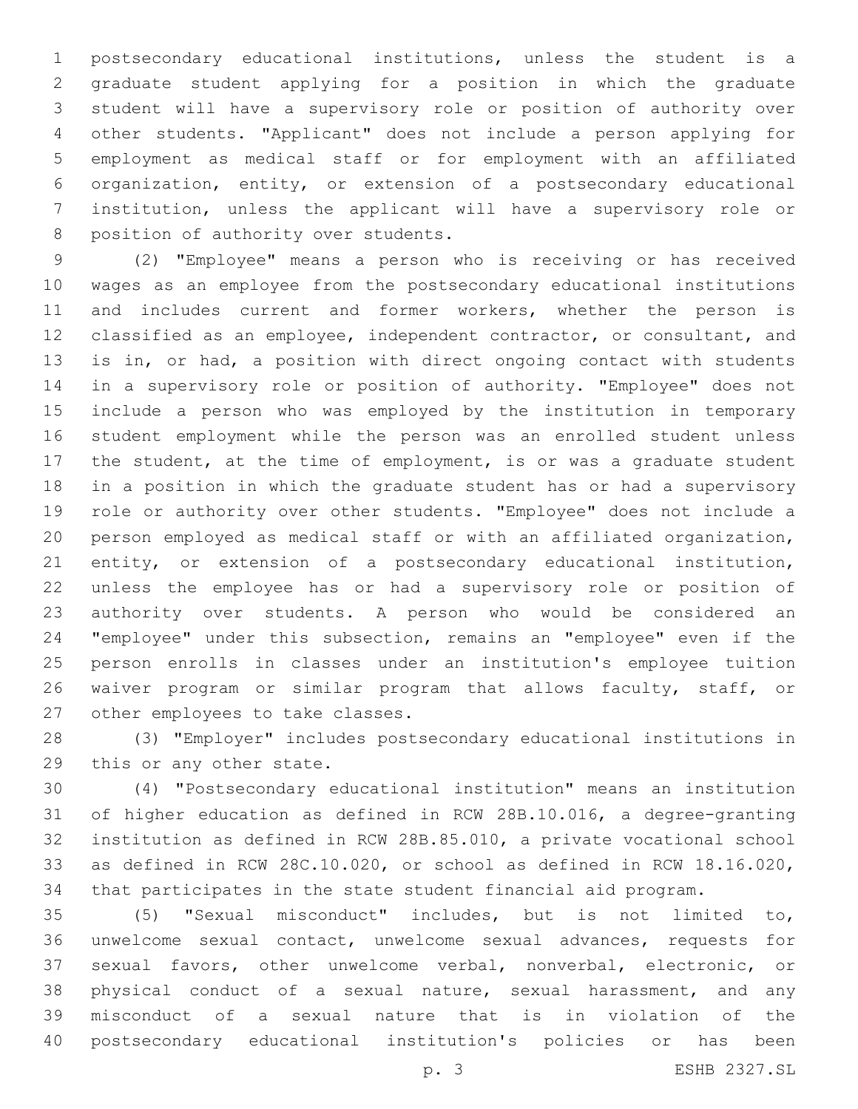postsecondary educational institutions, unless the student is a graduate student applying for a position in which the graduate student will have a supervisory role or position of authority over other students. "Applicant" does not include a person applying for employment as medical staff or for employment with an affiliated organization, entity, or extension of a postsecondary educational institution, unless the applicant will have a supervisory role or 8 position of authority over students.

 (2) "Employee" means a person who is receiving or has received wages as an employee from the postsecondary educational institutions 11 and includes current and former workers, whether the person is classified as an employee, independent contractor, or consultant, and is in, or had, a position with direct ongoing contact with students in a supervisory role or position of authority. "Employee" does not include a person who was employed by the institution in temporary student employment while the person was an enrolled student unless the student, at the time of employment, is or was a graduate student in a position in which the graduate student has or had a supervisory role or authority over other students. "Employee" does not include a person employed as medical staff or with an affiliated organization, entity, or extension of a postsecondary educational institution, unless the employee has or had a supervisory role or position of authority over students. A person who would be considered an "employee" under this subsection, remains an "employee" even if the person enrolls in classes under an institution's employee tuition 26 waiver program or similar program that allows faculty, staff, or 27 other employees to take classes.

 (3) "Employer" includes postsecondary educational institutions in 29 this or any other state.

 (4) "Postsecondary educational institution" means an institution of higher education as defined in RCW 28B.10.016, a degree-granting institution as defined in RCW 28B.85.010, a private vocational school as defined in RCW 28C.10.020, or school as defined in RCW 18.16.020, that participates in the state student financial aid program.

 (5) "Sexual misconduct" includes, but is not limited to, unwelcome sexual contact, unwelcome sexual advances, requests for sexual favors, other unwelcome verbal, nonverbal, electronic, or physical conduct of a sexual nature, sexual harassment, and any misconduct of a sexual nature that is in violation of the postsecondary educational institution's policies or has been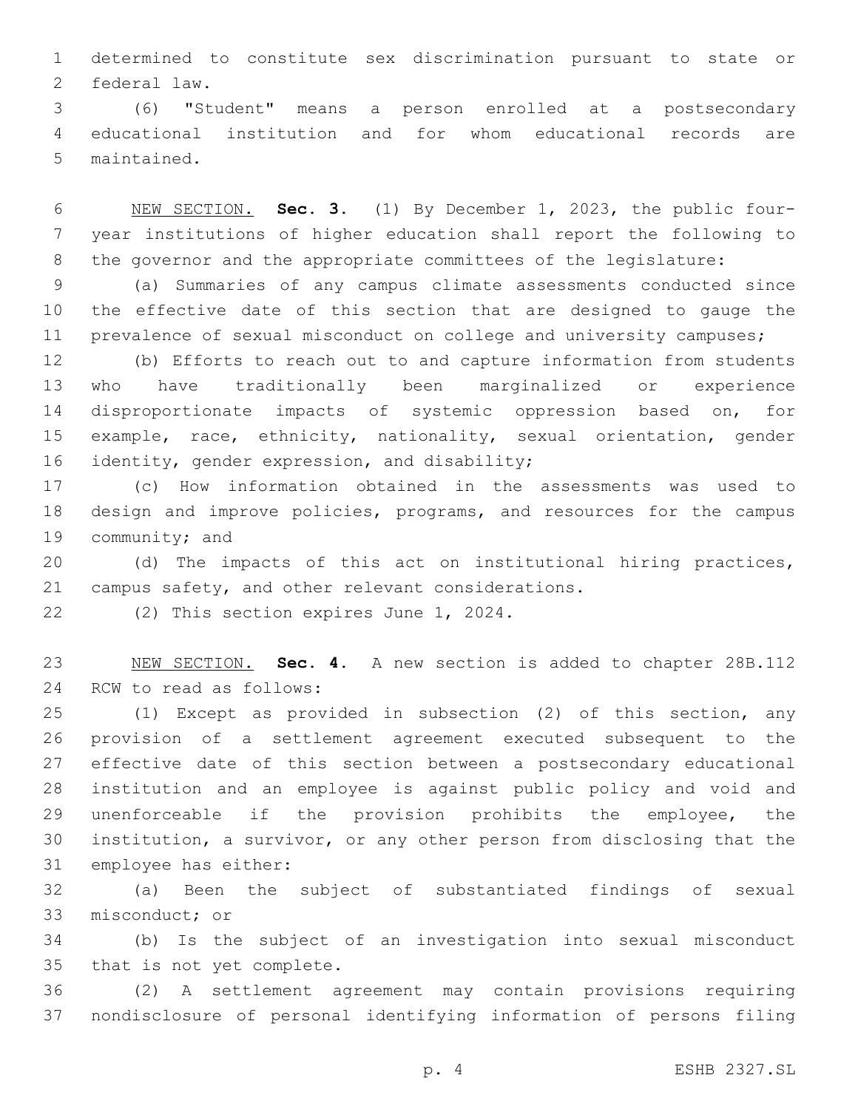determined to constitute sex discrimination pursuant to state or 2 federal law.

 (6) "Student" means a person enrolled at a postsecondary educational institution and for whom educational records are 5 maintained.

 NEW SECTION. **Sec. 3.** (1) By December 1, 2023, the public four- year institutions of higher education shall report the following to the governor and the appropriate committees of the legislature:

 (a) Summaries of any campus climate assessments conducted since the effective date of this section that are designed to gauge the 11 prevalence of sexual misconduct on college and university campuses;

 (b) Efforts to reach out to and capture information from students who have traditionally been marginalized or experience disproportionate impacts of systemic oppression based on, for example, race, ethnicity, nationality, sexual orientation, gender 16 identity, gender expression, and disability;

 (c) How information obtained in the assessments was used to design and improve policies, programs, and resources for the campus 19 community; and

 (d) The impacts of this act on institutional hiring practices, 21 campus safety, and other relevant considerations.

22 (2) This section expires June 1, 2024.

 NEW SECTION. **Sec. 4.** A new section is added to chapter 28B.112 24 RCW to read as follows:

 (1) Except as provided in subsection (2) of this section, any provision of a settlement agreement executed subsequent to the effective date of this section between a postsecondary educational institution and an employee is against public policy and void and unenforceable if the provision prohibits the employee, the institution, a survivor, or any other person from disclosing that the 31 employee has either:

 (a) Been the subject of substantiated findings of sexual 33 misconduct; or

 (b) Is the subject of an investigation into sexual misconduct 35 that is not yet complete.

 (2) A settlement agreement may contain provisions requiring nondisclosure of personal identifying information of persons filing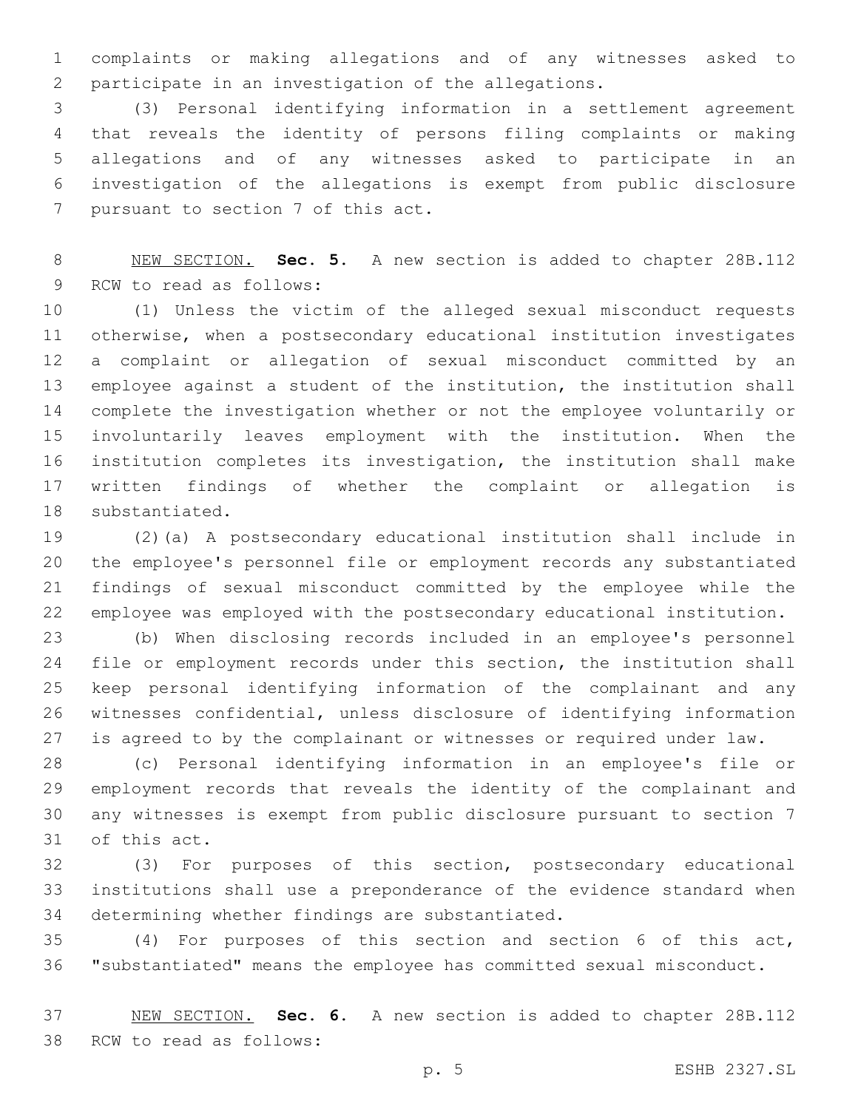complaints or making allegations and of any witnesses asked to participate in an investigation of the allegations.

 (3) Personal identifying information in a settlement agreement that reveals the identity of persons filing complaints or making allegations and of any witnesses asked to participate in an investigation of the allegations is exempt from public disclosure 7 pursuant to section 7 of this act.

 NEW SECTION. **Sec. 5.** A new section is added to chapter 28B.112 9 RCW to read as follows:

 (1) Unless the victim of the alleged sexual misconduct requests otherwise, when a postsecondary educational institution investigates a complaint or allegation of sexual misconduct committed by an employee against a student of the institution, the institution shall complete the investigation whether or not the employee voluntarily or involuntarily leaves employment with the institution. When the institution completes its investigation, the institution shall make written findings of whether the complaint or allegation is 18 substantiated.

 (2)(a) A postsecondary educational institution shall include in the employee's personnel file or employment records any substantiated findings of sexual misconduct committed by the employee while the employee was employed with the postsecondary educational institution.

 (b) When disclosing records included in an employee's personnel file or employment records under this section, the institution shall keep personal identifying information of the complainant and any witnesses confidential, unless disclosure of identifying information is agreed to by the complainant or witnesses or required under law.

 (c) Personal identifying information in an employee's file or employment records that reveals the identity of the complainant and any witnesses is exempt from public disclosure pursuant to section 7 31 of this act.

 (3) For purposes of this section, postsecondary educational institutions shall use a preponderance of the evidence standard when 34 determining whether findings are substantiated.

 (4) For purposes of this section and section 6 of this act, "substantiated" means the employee has committed sexual misconduct.

 NEW SECTION. **Sec. 6.** A new section is added to chapter 28B.112 38 RCW to read as follows: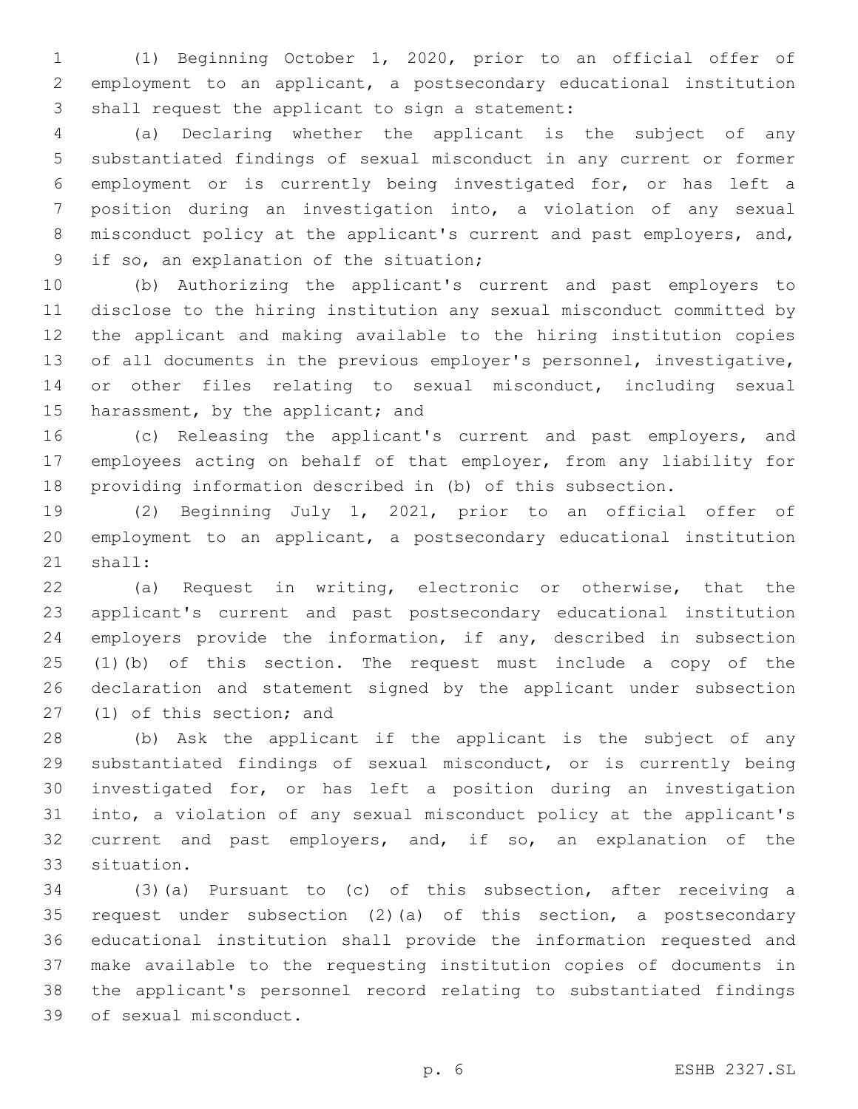(1) Beginning October 1, 2020, prior to an official offer of employment to an applicant, a postsecondary educational institution 3 shall request the applicant to sign a statement:

 (a) Declaring whether the applicant is the subject of any substantiated findings of sexual misconduct in any current or former employment or is currently being investigated for, or has left a position during an investigation into, a violation of any sexual misconduct policy at the applicant's current and past employers, and, 9 if so, an explanation of the situation;

 (b) Authorizing the applicant's current and past employers to disclose to the hiring institution any sexual misconduct committed by the applicant and making available to the hiring institution copies of all documents in the previous employer's personnel, investigative, or other files relating to sexual misconduct, including sexual 15 harassment, by the applicant; and

 (c) Releasing the applicant's current and past employers, and employees acting on behalf of that employer, from any liability for providing information described in (b) of this subsection.

 (2) Beginning July 1, 2021, prior to an official offer of employment to an applicant, a postsecondary educational institution 21 shall:

 (a) Request in writing, electronic or otherwise, that the applicant's current and past postsecondary educational institution employers provide the information, if any, described in subsection (1)(b) of this section. The request must include a copy of the declaration and statement signed by the applicant under subsection 27 (1) of this section; and

 (b) Ask the applicant if the applicant is the subject of any substantiated findings of sexual misconduct, or is currently being investigated for, or has left a position during an investigation into, a violation of any sexual misconduct policy at the applicant's current and past employers, and, if so, an explanation of the 33 situation.

 (3)(a) Pursuant to (c) of this subsection, after receiving a request under subsection (2)(a) of this section, a postsecondary educational institution shall provide the information requested and make available to the requesting institution copies of documents in the applicant's personnel record relating to substantiated findings 39 of sexual misconduct.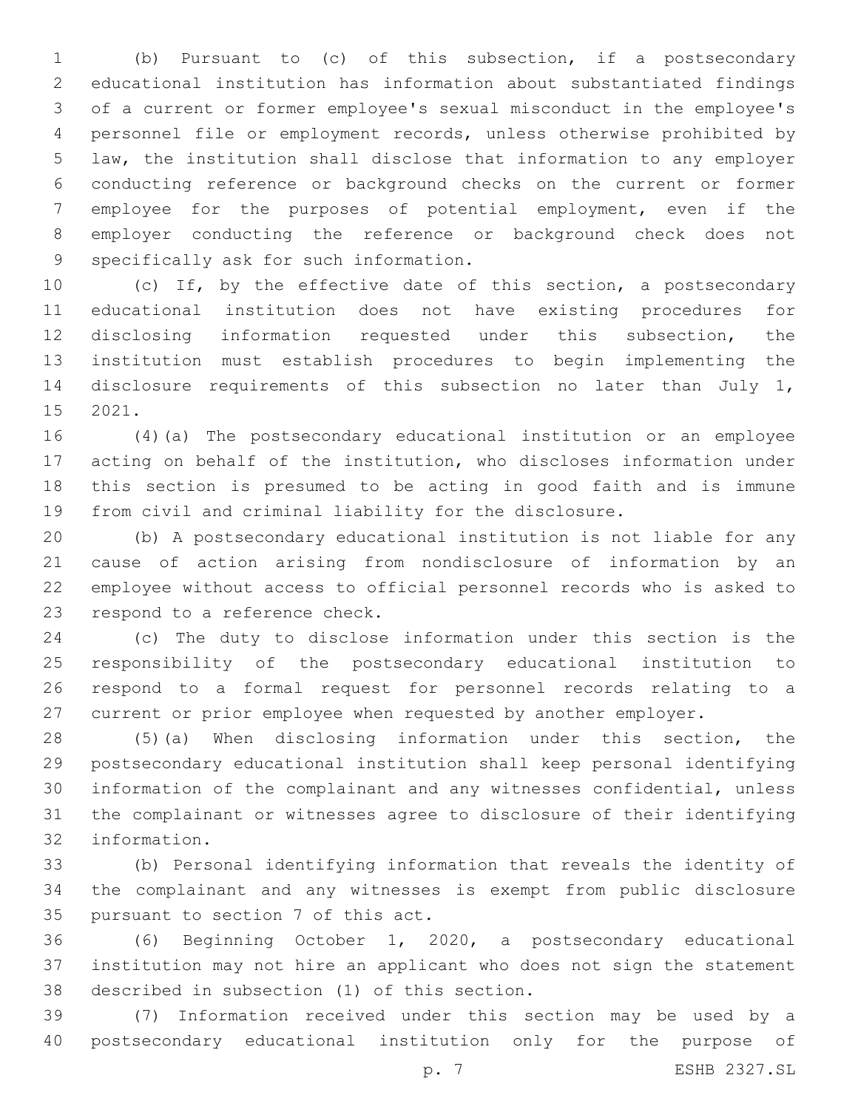(b) Pursuant to (c) of this subsection, if a postsecondary educational institution has information about substantiated findings of a current or former employee's sexual misconduct in the employee's personnel file or employment records, unless otherwise prohibited by law, the institution shall disclose that information to any employer conducting reference or background checks on the current or former employee for the purposes of potential employment, even if the employer conducting the reference or background check does not 9 specifically ask for such information.

 (c) If, by the effective date of this section, a postsecondary educational institution does not have existing procedures for disclosing information requested under this subsection, the institution must establish procedures to begin implementing the disclosure requirements of this subsection no later than July 1, 15 2021.

 (4)(a) The postsecondary educational institution or an employee acting on behalf of the institution, who discloses information under this section is presumed to be acting in good faith and is immune from civil and criminal liability for the disclosure.

 (b) A postsecondary educational institution is not liable for any cause of action arising from nondisclosure of information by an employee without access to official personnel records who is asked to 23 respond to a reference check.

 (c) The duty to disclose information under this section is the responsibility of the postsecondary educational institution to respond to a formal request for personnel records relating to a current or prior employee when requested by another employer.

 (5)(a) When disclosing information under this section, the postsecondary educational institution shall keep personal identifying information of the complainant and any witnesses confidential, unless the complainant or witnesses agree to disclosure of their identifying information.32

 (b) Personal identifying information that reveals the identity of the complainant and any witnesses is exempt from public disclosure 35 pursuant to section 7 of this act.

 (6) Beginning October 1, 2020, a postsecondary educational institution may not hire an applicant who does not sign the statement 38 described in subsection (1) of this section.

 (7) Information received under this section may be used by a postsecondary educational institution only for the purpose of

p. 7 ESHB 2327.SL